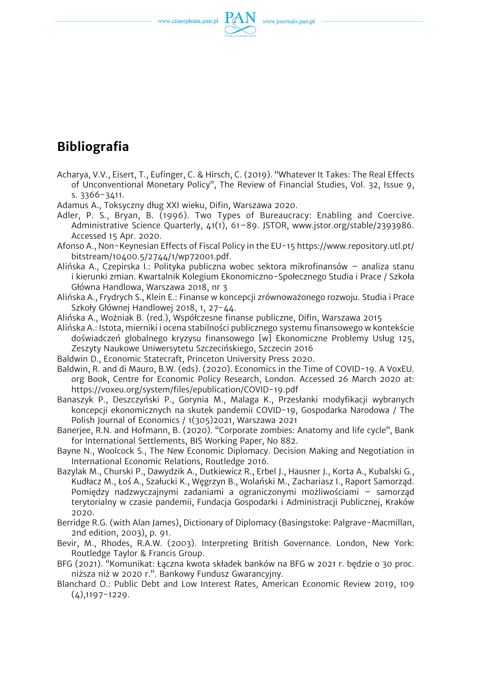

# **Bibliografia**

- Acharya, V.V., Eisert, T., Eufinger, C. & Hirsch, C. (2019). "Whatever It Takes: The Real Effects of Unconventional Monetary Policy", The Review of Financial Studies, Vol. 32, Issue 9, s. 3366-3411.
- Adamus A., Toksyczny dług XXI wieku, Difin, Warszawa 2020.
- Adler, P. S., Bryan, B. (1996). Two Types of Bureaucracy: Enabling and Coercive. Administrative Science Quarterly, 41(1), 61–89. JSTOR, www.jstor.org/stable/2393986. Accessed 15 Apr. 2020.
- Afonso A., Non-Keynesian Effects of Fiscal Policy in the EU-15 [https://www.repository.utl.pt/](https://www.repository.utl.pt/bitstream/10400.5/2744/1/wp72001.pdf.) [bitstream/10400.5/2744/1/wp72001.pdf.](https://www.repository.utl.pt/bitstream/10400.5/2744/1/wp72001.pdf.)
- Alińska A., Czepirska I.: Polityka publiczna wobec sektora mikrofinansów analiza stanu i kierunki zmian. Kwartalnik Kolegium Ekonomiczno-Społecznego Studia i Prace / Szkoła Główna Handlowa, Warszawa 2018, nr 3
- Alińska A., Frydrych S., Klein E.: Finanse w koncepcji zrównoważonego rozwoju. Studia i Prace Szkoły Głównej Handlowej 2018, 1, 27-44.
- Alińska A., Wożniak B. (red.), Współczesne finanse publiczne, Difin, Warszawa 2015
- Alińska A.: Istota, mierniki i ocena stabilności publicznego systemu finansowego w kontekście doświadczeń globalnego kryzysu finansowego [w] Ekonomiczne Problemy Usług 125, Zeszyty Naukowe Uniwersytetu Szczecińskiego, Szczecin 2016
- Baldwin D., Economic Statecraft, Princeton University Press 2020.
- Baldwin, R. and di Mauro, B.W. (eds). (2020). Economics in the Time of COVID-19. A VoxEU. org Book, Centre for Economic Policy Research, London. Accessed 26 March 2020 at: <https://voxeu.org/system/files/epublication/COVID-19.pdf>
- Banaszyk P., Deszczyński P., Gorynia M., Malaga K., Przesłanki modyfikacji wybranych koncepcji ekonomicznych na skutek pandemii COVID-19, Gospodarka Narodowa / The Polish Journal of Economics / 1(305)2021, Warszawa 2021
- Banerjee, R.N. and Hofmann, B. (2020). "Corporate zombies: Anatomy and life cycle", Bank for International Settlements, BIS Working Paper, No 882.
- Bayne N., Woolcock S., The New Economic Diplomacy. Decision Making and Negotiation in International Economic Relations, Routledge 2016.
- Bazylak M., Churski P., Dawydzik A., Dutkiewicz R., Erbel J., Hausner J., Korta A., Kubalski G., Kudłacz M., Łoś A., Szałucki K., Węgrzyn B., Wolański M., Zachariasz I., Raport Samorząd. Pomiędzy nadzwyczajnymi zadaniami a ograniczonymi możliwościami – samorząd terytorialny w czasie pandemii, Fundacja Gospodarki i Administracji Publicznej, Kraków 2020.
- Berridge R.G. (with Alan James), Dictionary of Diplomacy (Basingstoke: Palgrave-Macmillan, 2nd edition, 2003), p. 91.
- Bevir, M., Rhodes, R.A.W. (2003). Interpreting British Governance. London, New York: Routledge Taylor & Francis Group.
- BFG (2021). "Komunikat: Łączna kwota składek banków na BFG w 2021 r. będzie o 30 proc. niższa niż w 2020 r.". Bankowy Fundusz Gwarancyjny.
- Blanchard O.: Public Debt and Low Interest Rates, American Economic Review 2019, 109  $(4)$ , 1197 - 1229.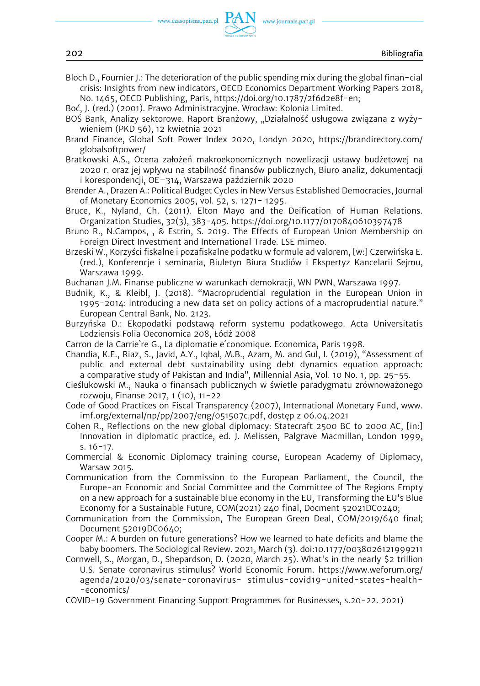

Bloch D., Fournier J.: The deterioration of the public spending mix during the global finan-cial crisis: Insights from new indicators, OECD Economics Department Working Papers 2018, No. 1465, OECD Publishing, Paris, [https://doi.org/10.1787/2f6d2e8f-en;](https://doi.org/10.1787/2f6d2e8f-en) 

Boć, J. (red.) (2001). Prawo Administracyjne. Wrocław: Kolonia Limited.

- BOŚ Bank, Analizy sektorowe. Raport Branżowy, "Działalność usługowa związana z wyżywieniem (PKD 56), 12 kwietnia 2021
- Brand Finance, Global Soft Power Index 2020, Londyn 2020, [https://brandirectory.com/](https://brandirectory.com/globalsoftpower/)  [globalsoftpower/](https://brandirectory.com/globalsoftpower/)
- Bratkowski A.S., Ocena założeń makroekonomicznych nowelizacji ustawy budżetowej na 2020 r. oraz jej wpływu na stabilność finansów publicznych, Biuro analiz, dokumentacji i korespondencji, OE–314, Warszawa październik 2020
- Brender A., Drazen A.: Political Budget Cycles in New Versus Established Democracies, Journal of Monetary Economics 2005, vol. 52, s. 1271- 1295.
- Bruce, K., Nyland, Ch. (2011). Elton Mayo and the Deification of Human Relations. Organization Studies, 32(3), 383-405. <https://doi.org/10.1177/0170840610397478>
- Bruno R., N.Campos, , & Estrin, S. 2019. The Effects of European Union Membership on Foreign Direct Investment and International Trade. LSE mimeo.
- Brzeski W., Korzyści fiskalne i pozafiskalne podatku w formule ad valorem, [w:] Czerwińska E. (red.), Konferencje i seminaria, Biuletyn Biura Studiów i Ekspertyz Kancelarii Sejmu, Warszawa 1999.

Buchanan J.M. Finanse publiczne w warunkach demokracji, WN PWN, Warszawa 1997.

- Budnik, K., & Kleibl, J. (2018). "Macroprudential regulation in the European Union in 1995-2014: introducing a new data set on policy actions of a macroprudential nature." European Central Bank, No. 2123.
- Burzyńska D.: Ekopodatki podstawą reform systemu podatkowego. Acta Universitatis Lodziensis Folia Oeconomica 208, Łódź 2008
- Carron de la Carrie`re G., La diplomatie e´conomique. Economica, Paris 1998.
- Chandia, K.E., Riaz, S., Javid, A.Y., Iqbal, M.B., Azam, M. and Gul, I. (2019), "Assessment of public and external debt sustainability using debt dynamics equation approach: a comparative study of Pakistan and India", Millennial Asia, Vol. 10 No. 1, pp. 25-55.
- Cieślukowski M., Nauka o finansach publicznych w świetle paradygmatu zrównoważonego rozwoju, Finanse 2017, 1 (10), 11-22
- Code of Good Practices on Fiscal Transparency (2007), International Monetary Fund, www. imf.org/external/np/pp/2007/eng/051507c.pdf, dostęp z 06.04.2021
- Cohen R., Reflections on the new global diplomacy: Statecraft 2500 BC to 2000 AC, [in:] Innovation in diplomatic practice, ed. J. Melissen, Palgrave Macmillan, London 1999, s. 16-17.
- Commercial & Economic Diplomacy training course, European Academy of Diplomacy, Warsaw 2015.
- Communication from the Commission to the European Parliament, the Council, the Europe-an Economic and Social Committee and the Committee of The Regions Empty on a new approach for a sustainable blue economy in the EU, Transforming the EU's Blue Economy for a Sustainable Future, COM(2021) 240 final, Docment 52021DC0240;
- Communication from the Commission, The European Green Deal, COM/2019/640 final; Document 52019DC0640;
- Cooper M.: A burden on future generations? How we learned to hate deficits and blame the baby boomers. The Sociological Review. 2021, March (3). doi:10.1177/0038026121999211
- Cornwell, S., Morgan, D., Shepardson, D. (2020, March 25). What's in the nearly \$2 trillion U.S. Senate coronavirus stimulus? World Economic Forum. [https://www.weforum.org/](https://www.weforum.org/agenda/2020/03/senate-coronavirus-)  [agenda/2020/03/senate-coronavirus-](https://www.weforum.org/agenda/2020/03/senate-coronavirus-) stimulus-covid19-united-states-health- -economics/
- COVID-19 Government Financing Support Programmes for Businesses, s.20-22. 2021)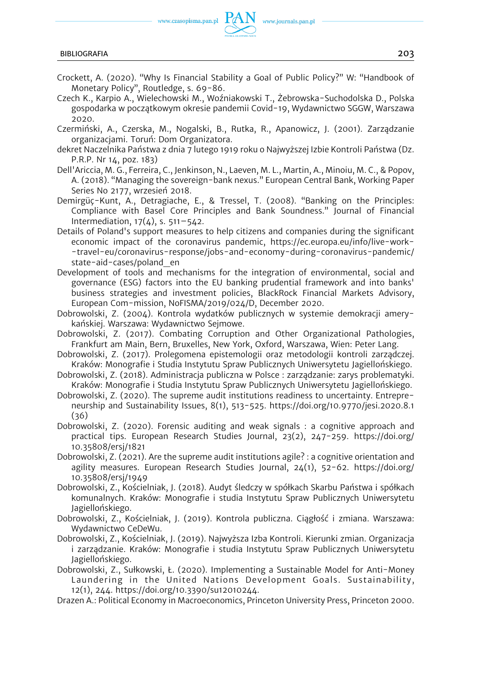

- Crockett, A. (2020). "Why Is Financial Stability a Goal of Public Policy?" W: "Handbook of Monetary Policy", Routledge, s. 69-86.
- Czech K., Karpio A., Wielechowski M., Woźniakowski T., Żebrowska-Suchodolska D., Polska gospodarka w początkowym okresie pandemii Covid-19, Wydawnictwo SGGW, Warszawa 2020.
- Czermiński, A., Czerska, M., Nogalski, B., Rutka, R., Apanowicz, J. (2001). Zarządzanie organizacjami. Toruń: Dom Organizatora.
- dekret Naczelnika Państwa z dnia 7 lutego 1919 roku o Najwyższej Izbie Kontroli Państwa (Dz. P.R.P. Nr 14, poz. 183)
- Dell'Ariccia, M. G., Ferreira, C., Jenkinson, N., Laeven, M. L., Martin, A., Minoiu, M. C., & Popov, A. (2018). "Managing the sovereign-bank nexus." European Central Bank, Working Paper Series No 2177, wrzesień 2018.
- Demirgüç-Kunt, A., Detragiache, E., & Tressel, T. (2008). "Banking on the Principles: Compliance with Basel Core Principles and Bank Soundness." Journal of Financial Intermediation,  $17(4)$ , s.  $511-542$ .
- Details of Poland's support measures to help citizens and companies during the significant economic impact of the coronavirus pandemic, [https://ec.europa.eu/info/live-work-](https://ec.europa.eu/info/live-work-travel-eu/coronavirus-response/jobs-and-economy-during-coronavirus-pandemic/state-aid-cases/poland_en) [-travel-eu/coronavirus-response/jobs-and-economy-during-coronavirus-pandemic/](https://ec.europa.eu/info/live-work-travel-eu/coronavirus-response/jobs-and-economy-during-coronavirus-pandemic/state-aid-cases/poland_en) [state-aid-cases/poland\\_en](https://ec.europa.eu/info/live-work-travel-eu/coronavirus-response/jobs-and-economy-during-coronavirus-pandemic/state-aid-cases/poland_en)
- Development of tools and mechanisms for the integration of environmental, social and governance (ESG) factors into the EU banking prudential framework and into banks' business strategies and investment policies, BlackRock Financial Markets Advisory, European Com-mission, NoFISMA/2019/024/D, December 2020.
- Dobrowolski, Z. (2004). Kontrola wydatków publicznych w systemie demokracji amerykańskiej. Warszawa: Wydawnictwo Sejmowe.
- Dobrowolski, Z. (2017). Combating Corruption and Other Organizational Pathologies, Frankfurt am Main, Bern, Bruxelles, New York, Oxford, Warszawa, Wien: Peter Lang.
- Dobrowolski, Z. (2017). Prolegomena epistemologii oraz metodologii kontroli zarządczej. Kraków: Monografie i Studia Instytutu Spraw Publicznych Uniwersytetu Jagiellońskiego.
- Dobrowolski, Z. (2018). Administracja publiczna w Polsce : zarządzanie: zarys problematyki. Kraków: Monografie i Studia Instytutu Spraw Publicznych Uniwersytetu Jagiellońskiego.
- Dobrowolski, Z. (2020). The supreme audit institutions readiness to uncertainty. Entrepreneurship and Sustainability Issues, 8(1), 513-525. [https://doi.org/10.9770/jesi.2020.8.1](https://doi.org/10.9770/jesi.2020.8.1(36))  [\(36\)](https://doi.org/10.9770/jesi.2020.8.1(36))
- Dobrowolski, Z. (2020). Forensic auditing and weak signals : a cognitive approach and practical tips. European Research Studies Journal, 23(2), 247-259. [https://doi.org/](https://doi.org/10.35808/ersj/1821) [10.35808/ersj/1821](https://doi.org/10.35808/ersj/1821)
- Dobrowolski, Z. (2021). Are the supreme audit institutions agile? : a cognitive orientation and agility measures. European Research Studies Journal, 24(1), 52-62. [https://doi.org/](https://doi.org/10.35808/ersj/1949) [10.35808/ersj/1949](https://doi.org/10.35808/ersj/1949)
- Dobrowolski, Z., Kościelniak, J. (2018). Audyt śledczy w spółkach Skarbu Państwa i spółkach komunalnych. Kraków: Monografie i studia Instytutu Spraw Publicznych Uniwersytetu Jagiellońskiego.
- Dobrowolski, Z., Kościelniak, J. (2019). Kontrola publiczna. Ciągłość i zmiana. Warszawa: Wydawnictwo CeDeWu.
- Dobrowolski, Z., Kościelniak, J. (2019). Najwyższa Izba Kontroli. Kierunki zmian. Organizacja i zarządzanie. Kraków: Monografie i studia Instytutu Spraw Publicznych Uniwersytetu Jagiellońskiego.
- Dobrowolski, Z., Sułkowski, Ł. (2020). Implementing a Sustainable Model for Anti-Money Laundering in the United Nations Development Goals. Sustainability, 12(1), 244. <https://doi.org/10.3390/su12010244.>
- Drazen A.: Political Economy in Macroeconomics, Princeton University Press, Princeton 2000.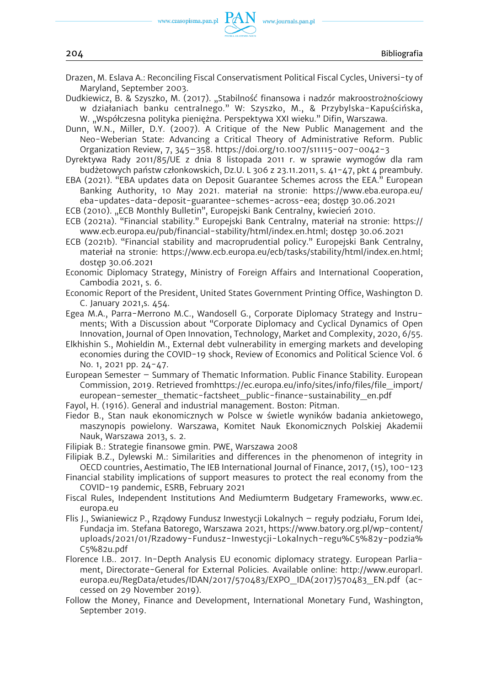

- Drazen, M. Eslava A.: Reconciling Fiscal Conservatisment Political Fiscal Cycles, Universi-ty of Maryland, September 2003.
- Dudkiewicz, B. & Szyszko, M. (2017). "Stabilność finansowa i nadzór makroostrożnościowy w działaniach banku centralnego." W: Szyszko, M., & Przybylska-Kapuścińska, W. "Współczesna polityka pieniężna. Perspektywa XXI wieku." Difin, Warszawa.
- Dunn, W.N., Miller, D.Y. (2007). A Critique of the New Public Management and the Neo-Weberian State: Advancing a Critical Theory of Administrative Reform. Public Organization Review, 7, 345–358. <https://doi.org/10.1007/s11115-007-0042-3>
- Dyrektywa Rady 2011/85/UE z dnia 8 listopada 2011 r. w sprawie wymogów dla ram budżetowych państw członkowskich, Dz.U. L 306 z 23.11.2011, s. 41-47, pkt 4 preambuły.
- EBA (2021). "EBA updates data on Deposit Guarantee Schemes across the EEA." European Banking Authority, 10 May 2021. materiał na stronie: [https://www.eba.europa.eu/](https://www.eba.europa.eu/eba-updates-data-deposit-guarantee-schemes-across-eea)  [eba-updates-data-deposit-guarantee-schemes-across-eea;](https://www.eba.europa.eu/eba-updates-data-deposit-guarantee-schemes-across-eea) dostęp 30.06.2021
- ECB (2010). "ECB Monthly Bulletin", Europejski Bank Centralny, kwiecień 2010.
- ECB (2021a). "Financial stability." Europejski Bank Centralny, materiał na stronie: [https://](https://www.ecb.europa.eu/pub/financial-stability/html/index.en.html)  [www.ecb.europa.eu/pub/financial-stability/html/index.en.html;](https://www.ecb.europa.eu/pub/financial-stability/html/index.en.html) dostęp 30.06.2021
- ECB (2021b). "Financial stability and macroprudential policy." Europejski Bank Centralny, materiał na stronie: [https://www.ecb.europa.eu/ecb/tasks/stability/html/index.en.html;](https://www.ecb.europa.eu/ecb/tasks/stability/html/index.en.html)  dostęp 30.06.2021
- Economic Diplomacy Strategy, Ministry of Foreign Affairs and International Cooperation, Cambodia 2021, s. 6.
- Economic Report of the President, United States Government Printing Office, Washington D. C. January 2021,s. 454.
- Egea M.A., Parra-Merrono M.C., Wandosell G., Corporate Diplomacy Strategy and Instruments; With a Discussion about "Corporate Diplomacy and Cyclical Dynamics of Open Innovation, Journal of Open Innovation, Technology, Market and Complexity, 2020, 6/55.
- Elkhishin S., Mohieldin M., External debt vulnerability in emerging markets and developing economies during the COVID-19 shock, Review of Economics and Political Science Vol. 6 No. 1, 2021 pp. 24-47.
- European Semester Summary of Thematic Information. Public Finance Stability. European Commission, 2019. Retrieved from[https://ec.europa.eu/info/sites/info/files/file\\_import/](https://ec.europa.eu/info/sites/info/files/file_import/european-semester_thematic-factsheet_public-finance-sustainability_en.pdf)  [european-semester\\_thematic-factsheet\\_public-finance-sustainability\\_en.pdf](https://ec.europa.eu/info/sites/info/files/file_import/european-semester_thematic-factsheet_public-finance-sustainability_en.pdf)
- Fayol, H. (1916). General and industrial management. Boston: Pitman.
- Fiedor B., Stan nauk ekonomicznych w Polsce w świetle wyników badania ankietowego, maszynopis powielony. Warszawa, Komitet Nauk Ekonomicznych Polskiej Akademii Nauk, Warszawa 2013, s. 2.
- Filipiak B.: Strategie finansowe gmin. PWE, Warszawa 2008
- Filipiak B.Z., Dylewski M.: Similarities and differences in the phenomenon of integrity in OECD countries, Aestimatio, The IEB International Journal of Finance, 2017, (15), 100-123
- Financial stability implications of support measures to protect the real economy from the COVID-19 pandemic, ESRB, February 2021
- Fiscal Rules, Independent Institutions And Mediumterm Budgetary Frameworks, www.ec. europa.eu
- Flis J., Swianiewicz P., Rządowy Fundusz Inwestycji Lokalnych reguły podziału, Forum Idei, Fundacja im. Stefana Batorego, Warszawa 2021, [https://www.batory.org.pl/wp-content/](https://www.batory.org.pl/wp-content/uploads/2021/01/Rzadowy-Fundusz-Inwestycji-Lokalnych-regu%C5%82y-podzia%C5%82u.pdf)  [uploads/2021/01/Rzadowy-Fundusz-Inwestycji-Lokalnych-regu%C5%82y-podzia%](https://www.batory.org.pl/wp-content/uploads/2021/01/Rzadowy-Fundusz-Inwestycji-Lokalnych-regu%C5%82y-podzia%C5%82u.pdf)  [C5%82u.pdf](https://www.batory.org.pl/wp-content/uploads/2021/01/Rzadowy-Fundusz-Inwestycji-Lokalnych-regu%C5%82y-podzia%C5%82u.pdf)
- Florence I.B.. 2017. In-Depth Analysis EU economic diplomacy strategy. European Parliament, Directorate-General for External Policies. Available online: [http://www.europarl.](http://www.europarl.europa.eu/RegData/etudes/IDAN/2017/570483/EXPO_IDA(2017)570483_EN.pdf)  [europa.eu/RegData/etudes/IDAN/2017/570483/EXPO\\_IDA\(2017\)570483\\_EN.pdf](http://www.europarl.europa.eu/RegData/etudes/IDAN/2017/570483/EXPO_IDA(2017)570483_EN.pdf) (accessed on 29 November 2019).
- Follow the Money, Finance and Development, International Monetary Fund, Washington, September 2019.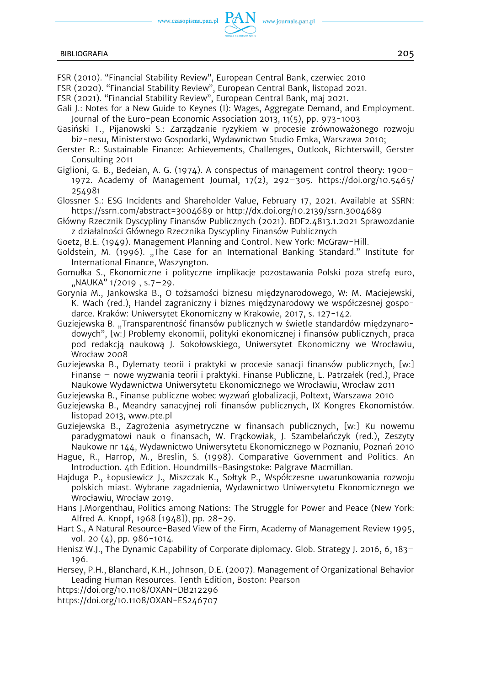## BIBLIOGRAFIA 205

- FSR (2010). "Financial Stability Review", European Central Bank, czerwiec 2010
- FSR (2020). "Financial Stability Review", European Central Bank, listopad 2021.
- FSR (2021). "Financial Stability Review", European Central Bank, maj 2021.
- Gali J.: Notes for a New Guide to Keynes (I): Wages, Aggregate Demand, and Employment. Journal of the Euro-pean Economic Association 2013, 11(5), pp. 973-1003
- Gasiński T., Pijanowski S.: Zarządzanie ryzykiem w procesie zrównoważonego rozwoju biz-nesu, Ministerstwo Gospodarki, Wydawnictwo Studio Emka, Warszawa 2010;
- Gerster R.: Sustainable Finance: Achievements, Challenges, Outlook, Richterswill, Gerster Consulting 2011
- Giglioni, G. B., Bedeian, A. G. (1974). A conspectus of management control theory: 1900– 1972. Academy of Management Journal, 17(2), 292–305. [https://doi.org/10.5465/](https://doi.org/10.5465/254981) [254981](https://doi.org/10.5465/254981)
- Glossner S.: ESG Incidents and Shareholder Value, February 17, 2021. Available at SSRN: <https://ssrn.com/abstract=3004689> or<http://dx.doi.org/10.2139/ssrn.3004689>
- Główny Rzecznik Dyscypliny Finansów Publicznych (2021). BDF2.4813.1.2021 Sprawozdanie z działalności Głównego Rzecznika Dyscypliny Finansów Publicznych
- Goetz, B.E. (1949). Management Planning and Control. New York: McGraw-Hill.
- Goldstein, M. (1996). "The Case for an International Banking Standard." Institute for International Finance, Waszyngton.
- Gomułka S., Ekonomiczne i polityczne implikacje pozostawania Polski poza strefą euro,  $M$ NAUKA"  $1/2019$ , s.7-29.
- Gorynia M., Jankowska B., O tożsamości biznesu międzynarodowego, W: M. Maciejewski, K. Wach (red.), Handel zagraniczny i biznes międzynarodowy we współczesnej gospodarce. Kraków: Uniwersytet Ekonomiczny w Krakowie, 2017, s. 127-142.
- Guziejewska B. "Transparentność finansów publicznych w świetle standardów międzynarodowych", [w:] Problemy ekonomii, polityki ekonomicznej i finansów publicznych, praca pod redakcją naukową J. Sokołowskiego, Uniwersytet Ekonomiczny we Wrocławiu, Wrocław 2008
- Guziejewska B., Dylematy teorii i praktyki w procesie sanacji finansów publicznych, [w:] Finanse – nowe wyzwania teorii i praktyki. Finanse Publiczne, L. Patrzałek (red.), Prace Naukowe Wydawnictwa Uniwersytetu Ekonomicznego we Wrocławiu, Wrocław 2011

Guziejewska B., Finanse publiczne wobec wyzwań globalizacji, Poltext, Warszawa 2010

- Guziejewska B., Meandry sanacyjnej roli finansów publicznych, IX Kongres Ekonomistów. listopad 2013, www.pte.pl
- Guziejewska B., Zagrożenia asymetryczne w finansach publicznych, [w:] Ku nowemu paradygmatowi nauk o finansach, W. Frąckowiak, J. Szambelańczyk (red.), Zeszyty Naukowe nr 144, Wydawnictwo Uniwersytetu Ekonomicznego w Poznaniu, Poznań 2010
- Hague, R., Harrop, M., Breslin, S. (1998). Comparative Government and Politics. An Introduction. 4th Edition. Houndmills-Basingstoke: Palgrave Macmillan.
- Hajduga P., Łopusiewicz J., Miszczak K., Sołtyk P., Współczesne uwarunkowania rozwoju polskich miast. Wybrane zagadnienia, Wydawnictwo Uniwersytetu Ekonomicznego we Wrocławiu, Wrocław 2019.
- Hans J.Morgenthau, Politics among Nations: The Struggle for Power and Peace (New York: Alfred A. Knopf, 1968 [1948]), pp. 28-29.
- Hart S., A Natural Resource-Based View of the Firm, Academy of Management Review 1995, vol. 20 (4), pp. 986-1014.
- Henisz W.J., The Dynamic Capability of Corporate diplomacy. Glob. Strategy J. 2016, 6, 183– 196.
- Hersey, P.H., Blanchard, K.H., Johnson, D.E. (2007). Management of Organizational Behavior Leading Human Resources. Tenth Edition, Boston: Pearson
- https://doi.org/10.1108/OXAN-DB212296
- https://doi.org/10.1108/OXAN-ES246707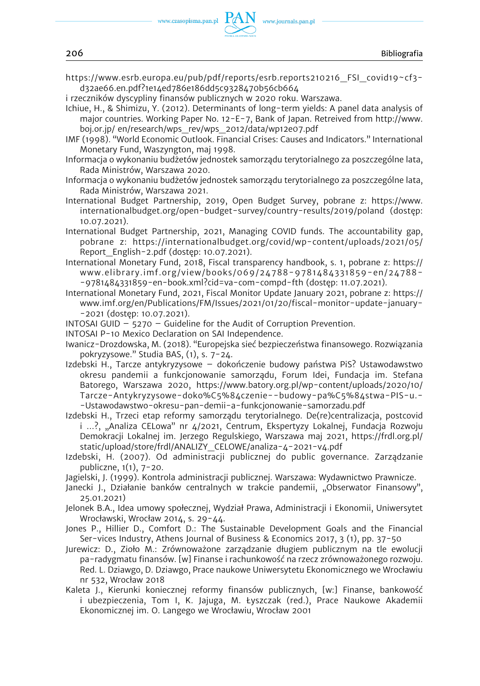www.journals.pan.pl

https://www.esrb.europa.eu/pub/pdf/reports/esrb.reports210216\_FSI\_covid19~cf3 d32ae66.en.pdf?1e14ed786e186dd5c9328470b56cb664

i rzeczników dyscypliny finansów publicznych w 2020 roku. Warszawa.

Ichiue, H., & Shimizu, Y. (2012). Determinants of long-term yields: A panel data analysis of major countries. Working Paper No. 12-E-7, Bank of Japan. Retreived from [http://www.](http://www.boj.or.jp/)  [boj.or.jp/](http://www.boj.or.jp/) en/research/wps\_rev/wps\_2012/data/wp12e07.pdf

- IMF (1998). "World Economic Outlook. Financial Crises: Causes and Indicators." International Monetary Fund, Waszyngton, maj 1998.
- Informacja o wykonaniu budżetów jednostek samorządu terytorialnego za poszczególne lata, Rada Ministrów, Warszawa 2020.

Informacja o wykonaniu budżetów jednostek samorządu terytorialnego za poszczególne lata, Rada Ministrów, Warszawa 2021.

- International Budget Partnership, 2019, Open Budget Survey, pobrane z: [https://www.](https://www.internationalbudget.org/open-budget-survey/country-results/2019/poland)  [internationalbudget.org/open-budget-survey/country-results/2019/poland](https://www.internationalbudget.org/open-budget-survey/country-results/2019/poland) (dostęp: 10.07.2021).
- International Budget Partnership, 2021, Managing COVID funds. The accountability gap, pobrane z: [https://internationalbudget.org/covid/wp-content/uploads/2021/05/](https://internationalbudget.org/covid/wp-content/uploads/2021/05/Report_English-2.pdf)  Report English-2.pdf (dostep: 10.07.2021).
- International Monetary Fund, 2018, Fiscal transparency handbook, s. 1, pobrane z: [https://](https://www.elibrary.imf.org/view/books/069/24788-9781484331859-en/24788-9781484331859-en-book.xml?cid=va-com-compd-fth)  [www.elibrary.imf.org/view/books/069/24788-9781484331859-en/24788-](https://www.elibrary.imf.org/view/books/069/24788-9781484331859-en/24788-9781484331859-en-book.xml?cid=va-com-compd-fth) [-9781484331859-en-book.xml?cid=va-com-compd-fth](https://www.elibrary.imf.org/view/books/069/24788-9781484331859-en/24788-9781484331859-en-book.xml?cid=va-com-compd-fth) (dostęp: 11.07.2021).
- International Monetary Fund, 2021, Fiscal Monitor Update January 2021, pobrane z: [https://](https://www.imf.org/en/Publications/FM/Issues/2021/01/20/fiscal-monitor-update-january-2021)  [www.imf.org/en/Publications/FM/Issues/2021/01/20/fiscal-monitor-update-january-](https://www.imf.org/en/Publications/FM/Issues/2021/01/20/fiscal-monitor-update-january-2021) [-2021](https://www.imf.org/en/Publications/FM/Issues/2021/01/20/fiscal-monitor-update-january-2021) (dostęp: 10.07.2021).
- INTOSAI GUID  $-$  5270  $-$  Guideline for the Audit of Corruption Prevention.
- INTOSAI P-10 Mexico Declaration on SAI Independence.
- Iwanicz-Drozdowska, M. (2018). "Europejska sieć bezpieczeństwa finansowego. Rozwiązania pokryzysowe." Studia BAS, (1), s. 7-24.
- Izdebski H., Tarcze antykryzysowe dokończenie budowy państwa PiS? Ustawodawstwo okresu pandemii a funkcjonowanie samorządu, Forum Idei, Fundacja im. Stefana Batorego, Warszawa 2020, [https://www.batory.org.pl/wp-content/uploads/2020/10/](https://www.batory.org.pl/wp-content/uploads/2020/10/Tarcze-Antykryzysowe-doko%C5%84czenie--budowy-pa%C5%84stwa-PIS-u.-Ustawodawstwo-okresu-pan-demii-a-funkcjonowanie-samorzadu.pdf)  [Tarcze-Antykryzysowe-doko%C5%84czenie--budowy-pa%C5%84stwa-PIS-u.-](https://www.batory.org.pl/wp-content/uploads/2020/10/Tarcze-Antykryzysowe-doko%C5%84czenie--budowy-pa%C5%84stwa-PIS-u.-Ustawodawstwo-okresu-pan-demii-a-funkcjonowanie-samorzadu.pdf) [-Ustawodawstwo-okresu-pan-demii-a-funkcjonowanie-samorzadu.pdf](https://www.batory.org.pl/wp-content/uploads/2020/10/Tarcze-Antykryzysowe-doko%C5%84czenie--budowy-pa%C5%84stwa-PIS-u.-Ustawodawstwo-okresu-pan-demii-a-funkcjonowanie-samorzadu.pdf)
- Izdebski H., Trzeci etap reformy samorządu terytorialnego. De(re)centralizacja, postcovid i ...?, "Analiza CELowa" nr 4/2021, Centrum, Ekspertyzy Lokalnej, Fundacja Rozwoju Demokracji Lokalnej im. Jerzego Regulskiego, Warszawa maj 2021, [https://frdl.org.pl/](https://frdl.org.pl/static/upload/store/frdl/ANALIZY_CELOWE/analiza-4-2021-v4.pdf)  [static/upload/store/frdl/ANALIZY\\_CELOWE/analiza-4-2021-v4.pdf](https://frdl.org.pl/static/upload/store/frdl/ANALIZY_CELOWE/analiza-4-2021-v4.pdf)
- Izdebski, H. (2007). Od administracji publicznej do public governance. Zarządzanie publiczne, 1(1), 7-20.
- Jagielski, J. (1999). Kontrola administracji publicznej. Warszawa: Wydawnictwo Prawnicze.
- Janecki J., Działanie banków centralnych w trakcie pandemii, "Obserwator Finansowy", 25.01.2021)
- Jelonek B.A., Idea umowy społecznej, Wydział Prawa, Administracji i Ekonomii, Uniwersytet Wrocławski, Wrocław 2014, s. 29-44.
- Jones P., Hillier D., Comfort D.: The Sustainable Development Goals and the Financial Ser-vices Industry, Athens Journal of Business & Economics 2017, 3 (1), pp. 37-50
- Jurewicz: D., Zioło M.: Zrównoważone zarządzanie długiem publicznym na tle ewolucji pa-radygmatu finansów. [w] Finanse i rachunkowość na rzecz zrównoważonego rozwoju. Red. L. Dziawgo, D. Dziawgo, Prace naukowe Uniwersytetu Ekonomicznego we Wrocławiu nr 532, Wrocław 2018
- Kaleta J., Kierunki koniecznej reformy finansów publicznych, [w:] Finanse, bankowość i ubezpieczenia, Tom I, K. Jajuga, M. Łyszczak (red.), Prace Naukowe Akademii Ekonomicznej im. O. Langego we Wrocławiu, Wrocław 2001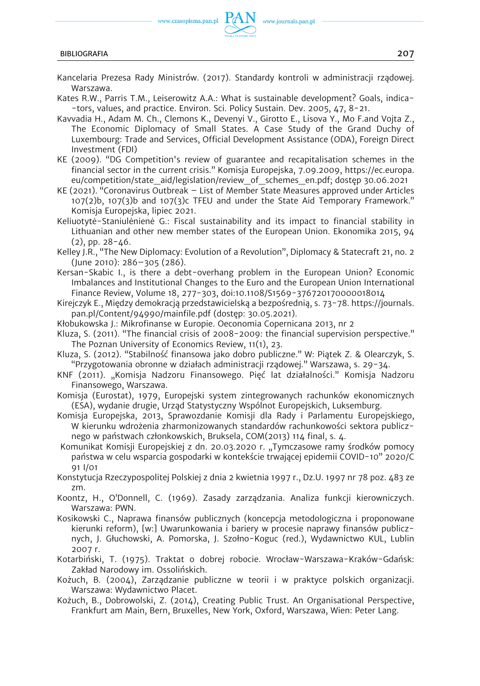

- Kancelaria Prezesa Rady Ministrów. (2017). Standardy kontroli w administracji rządowej. Warszawa.
- Kates R.W., Parris T.M., Leiserowitz A.A.: What is sustainable development? Goals, indica- -tors, values, and practice. Environ. Sci. Policy Sustain. Dev. 2005, 47, 8-21.
- Kavvadia H., Adam M. Ch., Clemons K., Devenyi V., Girotto E., Lisova Y., Mo F.and Vojta Z., The Economic Diplomacy of Small States. A Case Study of the Grand Duchy of Luxembourg: Trade and Services, Official Development Assistance (ODA), Foreign Direct Investment (FDI)
- KE (2009). "DG Competition's review of guarantee and recapitalisation schemes in the financial sector in the current crisis." Komisja Europejska, 7.09.2009, [https://ec.europa.](https://ec.europa.eu/competition/state_aid/legislation/review_of_schemes_en.pdf) [eu/competition/state\\_aid/legislation/review\\_of\\_schemes\\_en.pdf;](https://ec.europa.eu/competition/state_aid/legislation/review_of_schemes_en.pdf) dostęp 30.06.2021
- KE (2021). "Coronavirus Outbreak List of Member State Measures approved under Articles 107(2)b, 107(3)b and 107(3)c TFEU and under the State Aid Temporary Framework." Komisja Europejska, lipiec 2021.
- Keliuotytė-Staniulėnienė G.: Fiscal sustainability and its impact to financial stability in Lithuanian and other new member states of the European Union. Ekonomika 2015, 94 (2), pp. 28-46.
- Kelley J.R., "The New Diplomacy: Evolution of a Revolution", Diplomacy & Statecraft 21, no. 2 (June 2010): 286–305 (286).
- Kersan-Skabic I., is there a debt-overhang problem in the European Union? Economic Imbalances and Institutional Changes to the Euro and the European Union International Finance Review, Volume 18, 277-303, doi:10.1108/S1569-376720170000018014
- Kirejczyk E., Między demokracją przedstawicielską a bezpośrednią, s. 73-78. [https://journals.](https://journals.pan.pl/Content/94990/mainfile.pdf)  [pan.pl/Content/94990/mainfile.pdf](https://journals.pan.pl/Content/94990/mainfile.pdf) (dostęp: 30.05.2021).
- Kłobukowska J.: Mikrofinanse w Europie. Oeconomia Copernicana 2013, nr 2
- Kluza, S. (2011). "The financial crisis of 2008-2009: the financial supervision perspective." The Poznan University of Economics Review, 11(1), 23.
- Kluza, S. (2012). "Stabilność finansowa jako dobro publiczne." W: Piątek Z. & Olearczyk, S. "Przygotowania obronne w działach administracji rządowej." Warszawa, s. 29-34.
- KNF (2011). "Komisja Nadzoru Finansowego. Pięć lat działalności." Komisja Nadzoru Finansowego, Warszawa.
- Komisja (Eurostat), 1979, Europejski system zintegrowanych rachunków ekonomicznych (ESA), wydanie drugie, Urząd Statystyczny Wspólnot Europejskich, Luksemburg.
- Komisja Europejska, 2013, Sprawozdanie Komisji dla Rady i Parlamentu Europejskiego, W kierunku wdrożenia zharmonizowanych standardów rachunkowości sektora publicznego w państwach członkowskich, Bruksela, COM(2013) 114 final, s. 4.
- Komunikat Komisji Europejskiej z dn. 20.03.2020 r. "Tymczasowe ramy środków pomocy państwa w celu wsparcia gospodarki w kontekście trwającej epidemii COVID-10" 2020/C 91 I/01
- Konstytucja Rzeczypospolitej Polskiej z dnia 2 kwietnia 1997 r., Dz.U. 1997 nr 78 poz. 483 ze zm.
- Koontz, H., O'Donnell, C. (1969). Zasady zarządzania. Analiza funkcji kierowniczych. Warszawa: PWN.
- Kosikowski C., Naprawa finansów publicznych (koncepcja metodologiczna i proponowane kierunki reform), [w:] Uwarunkowania i bariery w procesie naprawy finansów publicznych, J. Głuchowski, A. Pomorska, J. Szołno-Koguc (red.), Wydawnictwo KUL, Lublin 2007 r.
- Kotarbiński, T. (1975). Traktat o dobrej robocie. Wrocław-Warszawa-Kraków-Gdańsk: Zakład Narodowy im. Ossolińskich.
- Kożuch, B. (2004), Zarządzanie publiczne w teorii i w praktyce polskich organizacji. Warszawa: Wydawnictwo Placet.
- Kożuch, B., Dobrowolski, Z. (2014), Creating Public Trust. An Organisational Perspective, Frankfurt am Main, Bern, Bruxelles, New York, Oxford, Warszawa, Wien: Peter Lang.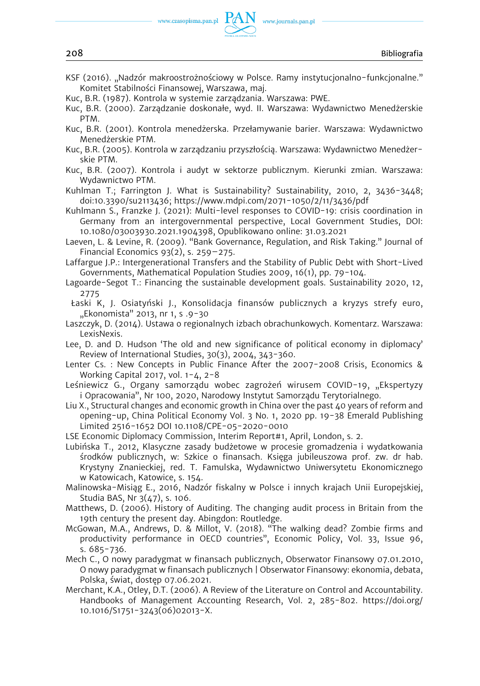

KSF (2016). "Nadzór makroostrożnościowy w Polsce. Ramy instytucjonalno-funkcjonalne." Komitet Stabilności Finansowej, Warszawa, maj.

Kuc, B.R. (1987). Kontrola w systemie zarządzania. Warszawa: PWE.

Kuc, B.R. (2000). Zarządzanie doskonałe, wyd. II. Warszawa: Wydawnictwo Menedżerskie PTM.

- Kuc, B.R. (2001). Kontrola menedżerska. Przełamywanie barier. Warszawa: Wydawnictwo Menedżerskie PTM.
- Kuc, B.R. (2005). Kontrola w zarządzaniu przyszłością. Warszawa: Wydawnictwo Menedżerskie PTM.

Kuc, B.R. (2007). Kontrola i audyt w sektorze publicznym. Kierunki zmian. Warszawa: Wydawnictwo PTM.

Kuhlman T.; Farrington J. What is Sustainability? Sustainability, 2010, 2, 3436-3448; doi:10.3390/su2113436; <https://www.mdpi.com/2071-1050/2/11/3436/pdf>

Kuhlmann S., Franzke J. (2021): Multi-level responses to COVID-19: crisis coordination in Germany from an intergovernmental perspective, Local Government Studies, DOI: 10.1080/03003930.2021.1904398, Opublikowano online: 31.03.2021

Laeven, L. & Levine, R. (2009). "Bank Governance, Regulation, and Risk Taking." Journal of Financial Economics  $93(2)$ , s.  $259 - 275$ .

Laffargue J.P.: Intergenerational Transfers and the Stability of Public Debt with Short-Lived Governments, Mathematical Population Studies 2009, 16(1), pp. 79-104.

Lagoarde-Segot T.: Financing the sustainable development goals. Sustainability 2020, 12, 2775

Łaski K, J. Osiatyński J., Konsolidacja finansów publicznych a kryzys strefy euro, "Ekonomista" 2013, nr 1, s .9-30

Laszczyk, D. (2014). Ustawa o regionalnych izbach obrachunkowych. Komentarz. Warszawa: LexisNexis.

Lee, D. and D. Hudson 'The old and new significance of political economy in diplomacy' Review of International Studies, 30(3), 2004, 343-360.

Lenter Cs. : New Concepts in Public Finance After the 2007-2008 Crisis, Economics & Working Capital 2017, vol. 1-4, 2-8

Leśniewicz G., Organy samorządu wobec zagrożeń wirusem COVID-19, "Ekspertyzy i Opracowania", Nr 100, 2020, Narodowy Instytut Samorządu Terytorialnego.

Liu X., Structural changes and economic growth in China over the past 40 years of reform and opening-up, China Political Economy Vol. 3 No. 1, 2020 pp. 19-38 Emerald Publishing Limited 2516-1652 DOI 10.1108/CPE-05-2020-0010

LSE Economic Diplomacy Commission, Interim Report#1, April, London, s. 2.

Lubińska T., 2012, Klasyczne zasady budżetowe w procesie gromadzenia i wydatkowania środków publicznych, w: Szkice o finansach. Księga jubileuszowa prof. zw. dr hab. Krystyny Znanieckiej, red. T. Famulska, Wydawnictwo Uniwersytetu Ekonomicznego w Katowicach, Katowice, s. 154.

Malinowska-Misiąg E., 2016, Nadzór fiskalny w Polsce i innych krajach Unii Europejskiej, Studia BAS, Nr 3(47), s. 106.

Matthews, D. (2006). History of Auditing. The changing audit process in Britain from the 19th century the present day. Abingdon: Routledge.

McGowan, M.A., Andrews, D. & Millot, V. (2018). "The walking dead? Zombie firms and productivity performance in OECD countries", Economic Policy, Vol. 33, Issue 96, s. 685-736.

Mech C., O nowy paradygmat w finansach publicznych, Obserwator Finansowy 07.01.2010, O nowy paradygmat w finansach publicznych | Obserwator Finansowy: ekonomia, debata, Polska, świat, dostęp 07.06.2021.

Merchant, K.A., Otley, D.T. (2006). A Review of the Literature on Control and Accountability. Handbooks of Management Accounting Research, Vol. 2, 285-802. [https://doi.org/](https://doi.org/10.1016/S1751-3243(06)02013-X.)  [10.1016/S1751-3243\(06\)02013-X.](https://doi.org/10.1016/S1751-3243(06)02013-X.)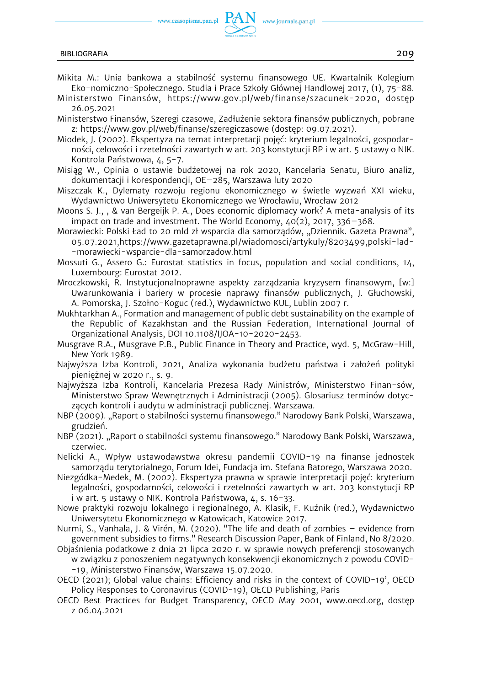

- Mikita M.: Unia bankowa a stabilność systemu finansowego UE. Kwartalnik Kolegium Eko-nomiczno-Społecznego. Studia i Prace Szkoły Głównej Handlowej 2017, (1), 75-88.
- Ministerstwo Finansów, [https://www.gov.pl/web/finanse/szacunek-2020,](https://www.gov.pl/web/finanse/szacunek-2020) dostęp 26.05.2021
- Ministerstwo Finansów, Szeregi czasowe, Zadłużenie sektora finansów publicznych, pobrane z: <https://www.gov.pl/web/finanse/szeregiczasowe>(dostęp: 09.07.2021).
- Miodek, J. (2002). Ekspertyza na temat interpretacji pojęć: kryterium legalności, gospodarności, celowości i rzetelności zawartych w art. 203 konstytucji RP i w art. 5 ustawy o NIK. Kontrola Państwowa, 4, 5-7.
- Misiąg W., Opinia o ustawie budżetowej na rok 2020, Kancelaria Senatu, Biuro analiz, dokumentacji i korespondencji, OE–285, Warszawa luty 2020
- Miszczak K., Dylematy rozwoju regionu ekonomicznego w świetle wyzwań XXI wieku, Wydawnictwo Uniwersytetu Ekonomicznego we Wrocławiu, Wrocław 2012
- Moons S. J., , & van Bergeijk P. A., Does economic diplomacy work? A meta-analysis of its impact on trade and investment. The World Economy,  $40(2)$ , 2017, 336-368.
- Morawiecki: Polski Ład to 20 mld zł wsparcia dla samorządów, "Dziennik. Gazeta Prawna", 05.07.2021[,https://www.gazetaprawna.pl/wiadomosci/artykuly/8203499,polski-lad-](https://www.gazetaprawna.pl/wiadomosci/artykuly/8203499,polski-lad-morawiecki-wsparcie-dla-samorzadow.html) [-morawiecki-wsparcie-dla-samorzadow.html](https://www.gazetaprawna.pl/wiadomosci/artykuly/8203499,polski-lad-morawiecki-wsparcie-dla-samorzadow.html)
- Mossuti G., Assero G.: Eurostat statistics in focus, population and social conditions, 14, Luxembourg: Eurostat 2012.
- Mroczkowski, R. Instytucjonalnoprawne aspekty zarządzania kryzysem finansowym, [w:] Uwarunkowania i bariery w procesie naprawy finansów publicznych, J. Głuchowski, A. Pomorska, J. Szołno-Koguc (red.), Wydawnictwo KUL, Lublin 2007 r.
- Mukhtarkhan A., Formation and management of public debt sustainability on the example of the Republic of Kazakhstan and the Russian Federation, International Journal of Organizational Analysis, DOI 10.1108/IJOA-10-2020-2453.
- Musgrave R.A., Musgrave P.B., Public Finance in Theory and Practice, wyd. 5, McGraw-Hill, New York 1989.
- Najwyższa Izba Kontroli, 2021, Analiza wykonania budżetu państwa i założeń polityki pieniężnej w 2020 r., s. 9.
- Najwyższa Izba Kontroli, Kancelaria Prezesa Rady Ministrów, Ministerstwo Finan-sów, Ministerstwo Spraw Wewnętrznych i Administracji (2005). Glosariusz terminów dotyczących kontroli i audytu w administracji publicznej. Warszawa.
- NBP (2009). "Raport o stabilności systemu finansowego." Narodowy Bank Polski, Warszawa, grudzień.
- NBP (2021). "Raport o stabilności systemu finansowego." Narodowy Bank Polski, Warszawa, czerwiec.
- Nelicki A., Wpływ ustawodawstwa okresu pandemii COVID-19 na finanse jednostek samorządu terytorialnego, Forum Idei, Fundacja im. Stefana Batorego, Warszawa 2020.
- Niezgódka-Medek, M. (2002). Ekspertyza prawna w sprawie interpretacji pojęć: kryterium legalności, gospodarności, celowości i rzetelności zawartych w art. 203 konstytucji RP i w art. 5 ustawy o NIK. Kontrola Państwowa, 4, s. 16-33.
- Nowe praktyki rozwoju lokalnego i regionalnego, A. Klasik, F. Kuźnik (red.), Wydawnictwo Uniwersytetu Ekonomicznego w Katowicach, Katowice 2017.
- Nurmi, S., Vanhala, J. & Virén, M. (2020). "The life and death of zombies evidence from government subsidies to firms." Research Discussion Paper, Bank of Finland, No 8/2020.
- Objaśnienia podatkowe z dnia 21 lipca 2020 r. w sprawie nowych preferencji stosowanych w związku z ponoszeniem negatywnych konsekwencji ekonomicznych z powodu COVID- -19, Ministerstwo Finansów, Warszawa 15.07.2020.
- OECD (2021); Global value chains: Efficiency and risks in the context of COVID-19', OECD Policy Responses to Coronavirus (COVID-19), OECD Publishing, Paris
- OECD Best Practices for Budget Transparency, OECD May 2001, www.oecd.org, dostęp z 06.04.2021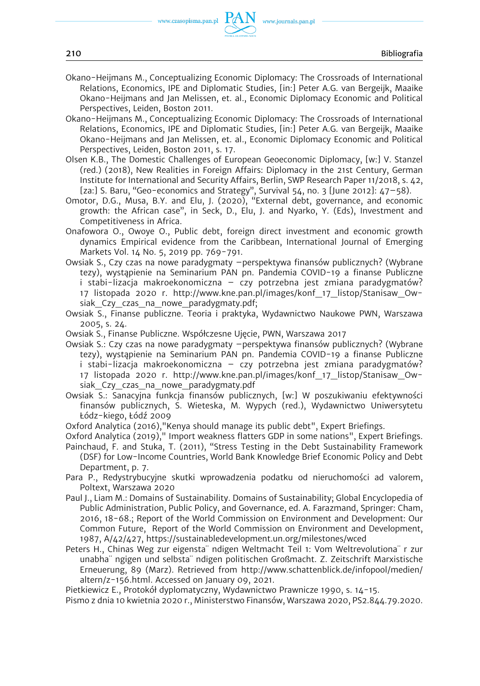- Okano-Heijmans M., Conceptualizing Economic Diplomacy: The Crossroads of International Relations, Economics, IPE and Diplomatic Studies, [in:] Peter A.G. van Bergeijk, Maaike Okano-Heijmans and Jan Melissen, et. al., Economic Diplomacy Economic and Political Perspectives, Leiden, Boston 2011.
- Okano-Heijmans M., Conceptualizing Economic Diplomacy: The Crossroads of International Relations, Economics, IPE and Diplomatic Studies, [in:] Peter A.G. van Bergeijk, Maaike Okano-Heijmans and Jan Melissen, et. al., Economic Diplomacy Economic and Political Perspectives, Leiden, Boston 2011, s. 17.
- Olsen K.B., The Domestic Challenges of European Geoeconomic Diplomacy, [w:] V. Stanzel (red.) (2018), New Realities in Foreign Affairs: Diplomacy in the 21st Century, German Institute for International and Security Affairs, Berlin, SWP Research Paper 11/2018, s. 42, [za:] S. Baru, "Geo-economics and Strategy", Survival 54, no. 3 [June 2012]: 47–58).
- Omotor, D.G., Musa, B.Y. and Elu, J. (2020), "External debt, governance, and economic growth: the African case", in Seck, D., Elu, J. and Nyarko, Y. (Eds), Investment and Competitiveness in Africa.
- Onafowora O., Owoye O., Public debt, foreign direct investment and economic growth dynamics Empirical evidence from the Caribbean, International Journal of Emerging Markets Vol. 14 No. 5, 2019 pp. 769-791.
- Owsiak S., Czy czas na nowe paradygmaty –perspektywa finansów publicznych? (Wybrane tezy), wystąpienie na Seminarium PAN pn. Pandemia COVID-19 a finanse Publiczne i stabi-lizacja makroekonomiczna – czy potrzebna jest zmiana paradygmatów? 17 listopada 2020 r. [http://www.kne.pan.pl/images/konf\\_17\\_listop/Stanisaw\\_Ow](http://www.kne.pan.pl/images/konf_17_listop/Stanisaw_Owsiak_Czy_czas_na_nowe_paradygmaty.pdf)siak Czy czas na nowe paradygmaty.pdf;
- Owsiak S., Finanse publiczne. Teoria i praktyka, Wydawnictwo Naukowe PWN, Warszawa 2005, s. 24.
- Owsiak S., Finanse Publiczne. Współczesne Ujęcie, PWN, Warszawa 2017
- Owsiak S.: Czy czas na nowe paradygmaty –perspektywa finansów publicznych? (Wybrane tezy), wystąpienie na Seminarium PAN pn. Pandemia COVID-19 a finanse Publiczne i stabi-lizacja makroekonomiczna – czy potrzebna jest zmiana paradygmatów? 17 listopada 2020 r. [http://www.kne.pan.pl/images/konf\\_17\\_listop/Stanisaw\\_Ow](http://www.kne.pan.pl/images/konf_17_listop/Stanisaw_Owsiak_Czy_czas_na_nowe_paradygmaty.pdf)[siak\\_Czy\\_czas\\_na\\_nowe\\_paradygmaty.pdf](http://www.kne.pan.pl/images/konf_17_listop/Stanisaw_Owsiak_Czy_czas_na_nowe_paradygmaty.pdf)

Owsiak S.: Sanacyjna funkcja finansów publicznych, [w:] W poszukiwaniu efektywności finansów publicznych, S. Wieteska, M. Wypych (red.), Wydawnictwo Uniwersytetu Łódz-kiego, Łódź 2009

- Oxford Analytica (2016),"Kenya should manage its public debt", Expert Briefings.
- Oxford Analytica (2019)," Import weakness flatters GDP in some nations", Expert Briefings. Painchaud, F. and Stuka, T. (2011), "Stress Testing in the Debt Sustainability Framework (DSF) for Low-Income Countries, World Bank Knowledge Brief Economic Policy and Debt Department, p. 7.
- Para P., Redystrybucyjne skutki wprowadzenia podatku od nieruchomości ad valorem, Poltext, Warszawa 2020
- Paul J., Liam M.: Domains of Sustainability. Domains of Sustainability; Global Encyclopedia of Public Administration, Public Policy, and Governance, ed. A. Farazmand, Springer: Cham, 2016, 18-68.; Report of the World Commission on Environment and Development: Our Common Future, Report of the World Commission on Environment and Development, 1987, A/42/427,<https://sustainabledevelopment.un.org/milestones/wced>
- Peters H., Chinas Weg zur eigensta¨ ndigen Weltmacht Teil 1: Vom Weltrevolutiona¨ r zur unabha¨ ngigen und selbsta¨ ndigen politischen Großmacht. Z. Zeitschrift Marxistische Erneuerung, 89 (Marz). Retrieved from [http://www.schattenblick.de/infopool/medien/](http://www.schattenblick.de/infopool/medien/altern/z-156.html.)  [altern/z-156.html.](http://www.schattenblick.de/infopool/medien/altern/z-156.html.) Accessed on January 09, 2021.

Pietkiewicz E., Protokół dyplomatyczny, Wydawnictwo Prawnicze 1990, s. 14-15.

Pismo z dnia 10 kwietnia 2020 r., Ministerstwo Finansów, Warszawa 2020, PS2.844.79.2020.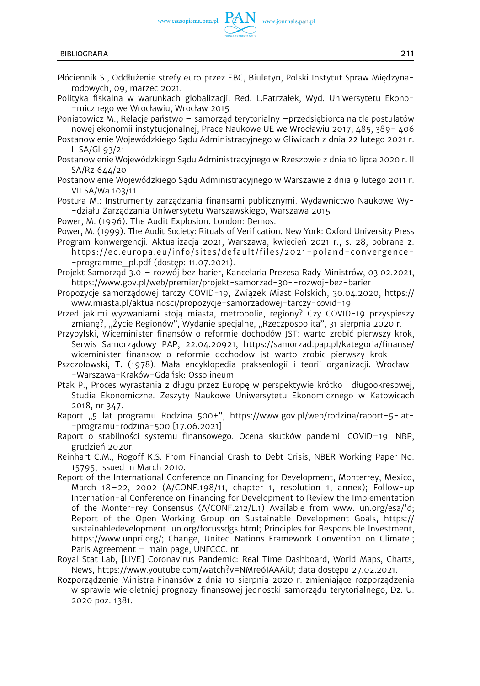

- Płóciennik S., Oddłużenie strefy euro przez EBC, Biuletyn, Polski Instytut Spraw Międzynarodowych, 09, marzec 2021.
- Polityka fiskalna w warunkach globalizacji. Red. L.Patrzałek, Wyd. Uniwersytetu Ekono- -micznego we Wrocławiu, Wrocław 2015
- Poniatowicz M., Relacje państwo samorząd terytorialny –przedsiębiorca na tle postulatów nowej ekonomii instytucjonalnej, Prace Naukowe UE we Wrocławiu 2017, 485, 389- 406
- Postanowienie Wojewódzkiego Sądu Administracyjnego w Gliwicach z dnia 22 lutego 2021 r. II SA/Gl 93/21
- Postanowienie Wojewódzkiego Sądu Administracyjnego w Rzeszowie z dnia 10 lipca 2020 r. II SA/Rz 644/20
- Postanowienie Wojewódzkiego Sądu Administracyjnego w Warszawie z dnia 9 lutego 2011 r. VII SA/Wa 103/11
- Postuła M.: Instrumenty zarządzania finansami publicznymi. Wydawnictwo Naukowe Wy- -działu Zarządzania Uniwersytetu Warszawskiego, Warszawa 2015
- Power, M. (1996). The Audit Explosion. London: Demos.
- Power, M. (1999). The Audit Society: Rituals of Verification. New York: Oxford University Press
- Program konwergencji. Aktualizacja 2021, Warszawa, kwiecień 2021 r., s. 28, pobrane z: [https://ec.europa.eu/info/sites/default/files/2021-poland-convergence-](https://ec.europa.eu/info/sites/default/files/2021-poland-convergence-programme_pl.pdf) [-programme\\_pl.pdf](https://ec.europa.eu/info/sites/default/files/2021-poland-convergence-programme_pl.pdf) (dostęp: 11.07.2021).
- Projekt Samorząd 3.0 rozwój bez barier, Kancelaria Prezesa Rady Ministrów, 03.02.2021, <https://www.gov.pl/web/premier/projekt-samorzad-30--rozwoj-bez-barier>
- Propozycje samorządowej tarczy COVID-19, Związek Miast Polskich, 30.04.2020, [https://](https://www.miasta.pl/aktualnosci/propozycje-samorzadowej-tarczy-covid-19) [www.miasta.pl/aktualnosci/propozycje-samorzadowej-tarczy-covid-19](https://www.miasta.pl/aktualnosci/propozycje-samorzadowej-tarczy-covid-19)
- Przed jakimi wyzwaniami stoją miasta, metropolie, regiony? Czy COVID-19 przyspieszy zmianę?, "Życie Regionów", Wydanie specjalne, "Rzeczpospolita", 31 sierpnia 2020 r.
- Przybylski, Wiceminister finansów o reformie dochodów JST: warto zrobić pierwszy krok, Serwis Samorządowy PAP, 22.04.20921, [https://samorzad.pap.pl/kategoria/finanse/](https://samorzad.pap.pl/kategoria/finanse/wiceminister-finansow-o-reformie-dochodow-jst-warto-zrobic-pierwszy-krok) [wiceminister-finansow-o-reformie-dochodow-jst-warto-zrobic-pierwszy-krok](https://samorzad.pap.pl/kategoria/finanse/wiceminister-finansow-o-reformie-dochodow-jst-warto-zrobic-pierwszy-krok)
- Pszczołowski, T. (1978). Mała encyklopedia prakseologii i teorii organizacji. Wrocław- -Warszawa-Kraków-Gdańsk: Ossolineum.
- Ptak P., Proces wyrastania z długu przez Europę w perspektywie krótko i długookresowej, Studia Ekonomiczne. Zeszyty Naukowe Uniwersytetu Ekonomicznego w Katowicach 2018, nr 347.
- Raport "5 lat programu Rodzina 500+", [https://www.gov.pl/web/rodzina/raport-5-lat-](https://www.gov.pl/web/rodzina/raport-5-lat-programu-rodzina-500) [-programu-rodzina-500](https://www.gov.pl/web/rodzina/raport-5-lat-programu-rodzina-500) [17.06.2021]
- Raport o stabilności systemu finansowego. Ocena skutków pandemii COVID–19. NBP, grudzień 2020r.
- Reinhart C.M., Rogoff K.S. From Financial Crash to Debt Crisis, NBER Working Paper No. 15795, Issued in March 2010.
- Report of the International Conference on Financing for Development, Monterrey, Mexico, March 18–22, 2002 (A/CONF.198/11, chapter 1, resolution 1, annex); Follow-up Internation-al Conference on Financing for Development to Review the Implementation of the Monter-rey Consensus (A/CONF.212/L.1) Available from www. un.org/esa/'d; Report of the Open Working Group on Sustainable Development Goals, [https://](https://sustainabledevelopment.) [sustainabledevelopment.](https://sustainabledevelopment.) un.org/focussdgs.html; Principles for Responsible Investment, [https://www.unpri.org/;](https://www.unpri.org/) Change, United Nations Framework Convention on Climate.; Paris Agreement – main page, UNFCCC.int
- Royal Stat Lab, [LIVE] Coronavirus Pandemic: Real Time Dashboard, World Maps, Charts, News, [https://www.youtube.com/watch?v=NMre6IAAAiU;](https://www.youtube.com/watch?v=NMre6IAAAiU) data dostępu 27.02.2021.
- Rozporządzenie Ministra Finansów z dnia 10 sierpnia 2020 r. zmieniające rozporządzenia w sprawie wieloletniej prognozy finansowej jednostki samorządu terytorialnego, Dz. U. 2020 poz. 1381.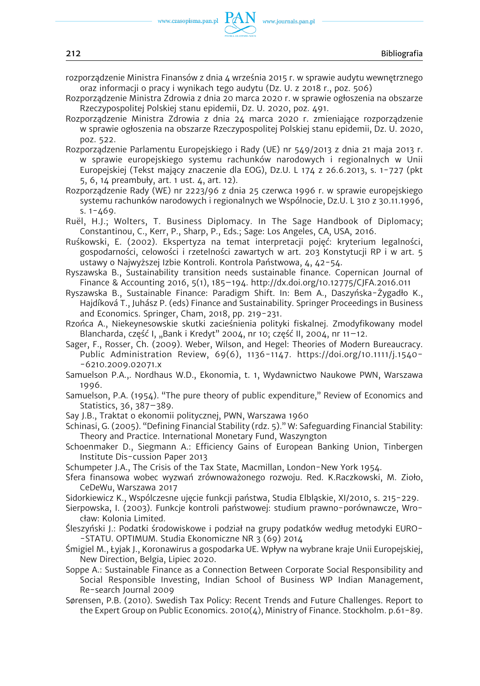www.journals.pan.pl

- rozporządzenie Ministra Finansów z dnia 4 września 2015 r. w sprawie audytu wewnętrznego oraz informacji o pracy i wynikach tego audytu (Dz. U. z 2018 r., poz. 506)
- Rozporządzenie Ministra Zdrowia z dnia 20 marca 2020 r. w sprawie ogłoszenia na obszarze Rzeczypospolitej Polskiej stanu epidemii, Dz. U. 2020, poz. 491.
- Rozporządzenie Ministra Zdrowia z dnia 24 marca 2020 r. zmieniające rozporządzenie w sprawie ogłoszenia na obszarze Rzeczypospolitej Polskiej stanu epidemii, Dz. U. 2020, poz. 522.
- Rozporządzenie Parlamentu Europejskiego i Rady (UE) nr 549/2013 z dnia 21 maja 2013 r. w sprawie europejskiego systemu rachunków narodowych i regionalnych w Unii Europejskiej (Tekst mający znaczenie dla EOG), Dz.U. L 174 z 26.6.2013, s. 1-727 (pkt 5, 6, 14 preambuły, art. 1 ust. 4, art. 12).
- Rozporządzenie Rady (WE) nr 2223/96 z dnia 25 czerwca 1996 r. w sprawie europejskiego systemu rachunków narodowych i regionalnych we Wspólnocie, Dz.U. L 310 z 30.11.1996, s.  $1 - 469$ .
- Ruël, H.J.; Wolters, T. Business Diplomacy. In The Sage Handbook of Diplomacy; Constantinou, C., Kerr, P., Sharp, P., Eds.; Sage: Los Angeles, CA, USA, 2016.
- Ruśkowski, E. (2002). Ekspertyza na temat interpretacji pojęć: kryterium legalności, gospodarności, celowości i rzetelności zawartych w art. 203 Konstytucji RP i w art. 5 ustawy o Najwyższej Izbie Kontroli. Kontrola Państwowa, 4, 42-54.
- Ryszawska B., Sustainability transition needs sustainable finance. Copernican Journal of Finance & Accounting 2016, 5(1), 185–194. <http://dx.doi.org/10.12775/CJFA.2016.011>
- Ryszawska B., Sustainable Finance: Paradigm Shift. In: Bem A., Daszyńska-Żygadło K., Hajdíková T., Juhász P. (eds) Finance and Sustainability. Springer Proceedings in Business and Economics. Springer, Cham, 2018, pp. 219-231.
- Rzońca A., Niekeynesowskie skutki zacieśnienia polityki fiskalnej. Zmodyfikowany model Blancharda, część I, "Bank i Kredyt" 2004, nr 10; część II, 2004, nr 11–12.
- Sager, F., Rosser, Ch. (2009). Weber, Wilson, and Hegel: Theories of Modern Bureaucracy. Public Administration Review, 69(6), 1136-1147. [https://doi.org/10.1111/j.1540-](https://doi.org/10.1111/j.1540-6210.2009.02071.x) [-6210.2009.02071.x](https://doi.org/10.1111/j.1540-6210.2009.02071.x)
- Samuelson P.A.,. Nordhaus W.D., Ekonomia, t. 1, Wydawnictwo Naukowe PWN, Warszawa 1996.
- Samuelson, P.A. (1954). "The pure theory of public expenditure," Review of Economics and Statistics, 36, 387–389.
- Say J.B., Traktat o ekonomii politycznej, PWN, Warszawa 1960
- Schinasi, G. (2005). "Defining Financial Stability (rdz. 5)." W: Safeguarding Financial Stability: Theory and Practice. International Monetary Fund, Waszyngton
- Schoenmaker D., Siegmann A.: Efficiency Gains of European Banking Union, Tinbergen Institute Dis-cussion Paper 2013
- Schumpeter J.A., The Crisis of the Tax State, Macmillan, London-New York 1954.
- Sfera finansowa wobec wyzwań zrównoważonego rozwoju. Red. K.Raczkowski, M. Zioło, CeDeWu, Warszawa 2017
- Sidorkiewicz K., Wspólczesne ujęcie funkcji państwa, Studia Elbląskie, XI/2010, s. 215-229.
- Sierpowska, I. (2003). Funkcje kontroli państwowej: studium prawno-porównawcze, Wrocław: Kolonia Limited.
- Śleszyński J.: Podatki środowiskowe i podział na grupy podatków według metodyki EURO- -STATU. OPTIMUM. Studia Ekonomiczne NR 3 (69) 2014
- Śmigiel M., Łyjak J., Koronawirus a gospodarka UE. Wpływ na wybrane kraje Unii Europejskiej, New Direction, Belgia, Lipiec 2020.
- Soppe A.: Sustainable Finance as a Connection Between Corporate Social Responsibility and Social Responsible Investing, Indian School of Business WP Indian Management, Re-search Journal 2009
- Sørensen, P.B. (2010). Swedish Tax Policy: Recent Trends and Future Challenges. Report to the Expert Group on Public Economics. 2010 $(4)$ , Ministry of Finance. Stockholm. p.61-89.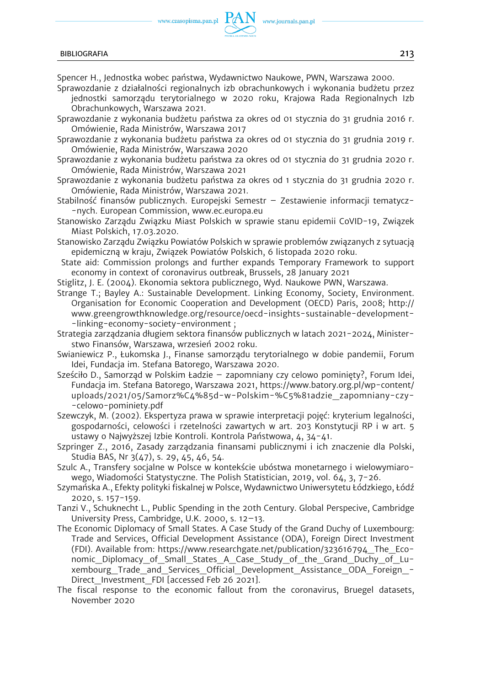

## BIBLIOGRAFIA 213

Spencer H., Jednostka wobec państwa, Wydawnictwo Naukowe, PWN, Warszawa 2000.

- Sprawozdanie z działalności regionalnych izb obrachunkowych i wykonania budżetu przez jednostki samorządu terytorialnego w 2020 roku, Krajowa Rada Regionalnych Izb Obrachunkowych, Warszawa 2021.
- Sprawozdanie z wykonania budżetu państwa za okres od 01 stycznia do 31 grudnia 2016 r. Omówienie, Rada Ministrów, Warszawa 2017
- Sprawozdanie z wykonania budżetu państwa za okres od 01 stycznia do 31 grudnia 2019 r. Omówienie, Rada Ministrów, Warszawa 2020
- Sprawozdanie z wykonania budżetu państwa za okres od 01 stycznia do 31 grudnia 2020 r. Omówienie, Rada Ministrów, Warszawa 2021
- Sprawozdanie z wykonania budżetu państwa za okres od 1 stycznia do 31 grudnia 2020 r. Omówienie, Rada Ministrów, Warszawa 2021.
- Stabilność finansów publicznych. Europejski Semestr Zestawienie informacji tematycz- -nych. European Commission, www.ec.europa.eu
- Stanowisko Zarządu Związku Miast Polskich w sprawie stanu epidemii CoVID-19, Związek Miast Polskich, 17.03.2020.
- Stanowisko Zarządu Związku Powiatów Polskich w sprawie problemów związanych z sytuacją epidemiczną w kraju, Związek Powiatów Polskich, 6 listopada 2020 roku.
- State aid: Commission prolongs and further expands Temporary Framework to support economy in context of coronavirus outbreak, Brussels, 28 January 2021
- Stiglitz, J. E. (2004). Ekonomia sektora publicznego, Wyd. Naukowe PWN, Warszawa.
- Strange T.; Bayley A.: Sustainable Development. Linking Economy, Society, Environment. Organisation for Economic Cooperation and Development (OECD) Paris, 2008; [http://](http://www.greengrowthknowledge.org/resource/oecd-insights-sustainable-development-linking-economy-society-environment)  [www.greengrowthknowledge.org/resource/oecd-insights-sustainable-development-](http://www.greengrowthknowledge.org/resource/oecd-insights-sustainable-development-linking-economy-society-environment) [-linking-economy-society-environment](http://www.greengrowthknowledge.org/resource/oecd-insights-sustainable-development-linking-economy-society-environment) ;

Strategia zarządzania długiem sektora finansów publicznych w latach 2021-2024, Ministerstwo Finansów, Warszawa, wrzesień 2002 roku.

- Swianiewicz P., Łukomska J., Finanse samorządu terytorialnego w dobie pandemii, Forum Idei, Fundacja im. Stefana Batorego, Warszawa 2020.
- Sześciło D., Samorząd w Polskim Ładzie zapomniany czy celowo pominięty?, Forum Idei, Fundacja im. Stefana Batorego, Warszawa 2021, [https://www.batory.org.pl/wp-content/](https://www.batory.org.pl/wp-content/uploads/2021/05/Samorz%C4%85d-w-Polskim-%C5%81adzie_zapomniany-czy-celowo-pominiety.pdf) [uploads/2021/05/Samorz%C4%85d-w-Polskim-%C5%81adzie\\_zapomniany-czy-](https://www.batory.org.pl/wp-content/uploads/2021/05/Samorz%C4%85d-w-Polskim-%C5%81adzie_zapomniany-czy-celowo-pominiety.pdf) [-celowo-pominiety.pdf](https://www.batory.org.pl/wp-content/uploads/2021/05/Samorz%C4%85d-w-Polskim-%C5%81adzie_zapomniany-czy-celowo-pominiety.pdf)
- Szewczyk, M. (2002). Ekspertyza prawa w sprawie interpretacji pojęć: kryterium legalności, gospodarności, celowości i rzetelności zawartych w art. 203 Konstytucji RP i w art. 5 ustawy o Najwyższej Izbie Kontroli. Kontrola Państwowa, 4, 34-41.
- Szpringer Z., 2016, Zasady zarządzania finansami publicznymi i ich znaczenie dla Polski, Studia BAS, Nr 3(47), s. 29, 45, 46, 54.
- Szulc A., Transfery socjalne w Polsce w kontekście ubóstwa monetarnego i wielowymiarowego, Wiadomości Statystyczne. The Polish Statistician, 2019, vol. 64, 3, 7-26.
- Szymańska A., Efekty polityki fiskalnej w Polsce, Wydawnictwo Uniwersytetu Łódzkiego, Łódź 2020, s. 157-159.

Tanzi V., Schuknecht L., Public Spending in the 20th Century. Global Perspecive, Cambridge University Press, Cambridge, U.K. 2000, s. 12–13.

- The Economic Diplomacy of Small States. A Case Study of the Grand Duchy of Luxembourg: Trade and Services, Official Development Assistance (ODA), Foreign Direct Investment (FDI). Available from: [https://www.researchgate.net/publication/323616794\\_The\\_Eco](https://www.researchgate.net/publication/323616794_The_Economic_Diplomacy_of_Small_States_A_Case_Study_of_the_Grand_Duchy_of_Luxembourg_Trade_and_Services_Official_Development_Assistance_ODA_Foreign_Direct_Investment_FDI)nomic Diplomacy of Small States A Case Study of the Grand Duchy of Lu[xembourg\\_Trade\\_and\\_Services\\_Official\\_Development\\_Assistance\\_ODA\\_Foreign\\_-](https://www.researchgate.net/publication/323616794_The_Economic_Diplomacy_of_Small_States_A_Case_Study_of_the_Grand_Duchy_of_Luxembourg_Trade_and_Services_Official_Development_Assistance_ODA_Foreign_Direct_Investment_FDI) Direct Investment\_FDI [accessed Feb 26 2021].
- The fiscal response to the economic fallout from the coronavirus, Bruegel datasets, November 2020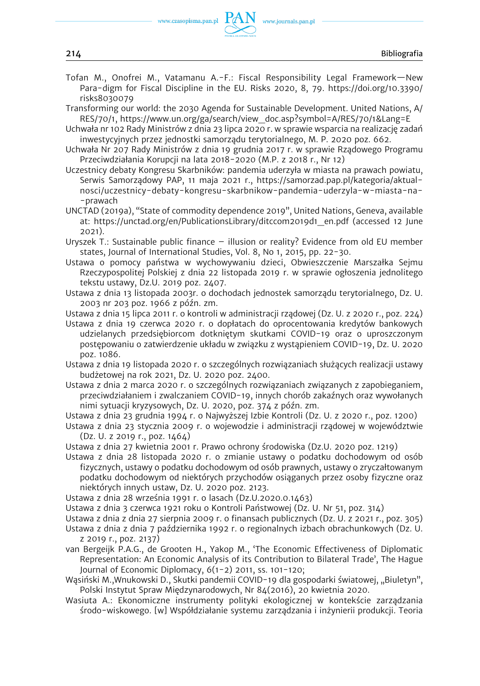

Tofan M., Onofrei M., Vatamanu A.-F.: Fiscal Responsibility Legal Framework—New Para-digm for Fiscal Discipline in the EU. Risks 2020, 8, 79. [https://doi.org/10.3390/](https://doi.org/10.3390/risks8030079)  [risks8030079](https://doi.org/10.3390/risks8030079) 

www.journals.pan.pl

- Transforming our world: the 2030 Agenda for Sustainable Development. United Nations, A/ RES/70/1, [https://www.un.org/ga/search/view\\_doc.asp?symbol=A/RES/70/1&Lang=E](https://www.un.org/ga/search/view_doc.asp?symbol=A/RES/70/1&Lang=E)
- Uchwała nr 102 Rady Ministrów z dnia 23 lipca 2020 r. w sprawie wsparcia na realizację zadań inwestycyjnych przez jednostki samorządu terytorialnego, M. P. 2020 poz. 662.
- Uchwała Nr 207 Rady Ministrów z dnia 19 grudnia 2017 r. w sprawie Rządowego Programu Przeciwdziałania Korupcji na lata 2018-2020 (M.P. z 2018 r., Nr 12)
- Uczestnicy debaty Kongresu Skarbników: pandemia uderzyła w miasta na prawach powiatu, Serwis Samorządowy PAP, 11 maja 2021 r., [https://samorzad.pap.pl/kategoria/aktual](https://samorzad.pap.pl/kategoria/aktualnosci/uczestnicy-debaty-kongresu-skarbnikow-pandemia-uderzyla-w-miasta-na-prawach)[nosci/uczestnicy-debaty-kongresu-skarbnikow-pandemia-uderzyla-w-miasta-na-](https://samorzad.pap.pl/kategoria/aktualnosci/uczestnicy-debaty-kongresu-skarbnikow-pandemia-uderzyla-w-miasta-na-prawach) [-prawach](https://samorzad.pap.pl/kategoria/aktualnosci/uczestnicy-debaty-kongresu-skarbnikow-pandemia-uderzyla-w-miasta-na-prawach)
- UNCTAD (2019a), "State of commodity dependence 2019", United Nations, Geneva, available at: [https://unctad.org/en/PublicationsLibrary/ditccom2019d1\\_en.pdf](https://unctad.org/en/PublicationsLibrary/ditccom2019d1_en.pdf) (accessed 12 June 2021).
- Uryszek T.: Sustainable public finance illusion or reality? Evidence from old EU member states, Journal of International Studies, Vol. 8, No 1, 2015, pp. 22-30.
- Ustawa o pomocy państwa w wychowywaniu dzieci, Obwieszczenie Marszałka Sejmu Rzeczypospolitej Polskiej z dnia 22 listopada 2019 r. w sprawie ogłoszenia jednolitego tekstu ustawy, Dz.U. 2019 poz. 2407.
- Ustawa z dnia 13 listopada 2003r. o dochodach jednostek samorządu terytorialnego, Dz. U. 2003 nr 203 poz. 1966 z późn. zm.
- Ustawa z dnia 15 lipca 2011 r. o kontroli w administracji rządowej (Dz. U. z 2020 r., poz. 224)
- Ustawa z dnia 19 czerwca 2020 r. o dopłatach do oprocentowania kredytów bankowych udzielanych przedsiębiorcom dotkniętym skutkami COVID-19 oraz o uproszczonym postępowaniu o zatwierdzenie układu w związku z wystąpieniem COVID-19, Dz. U. 2020 poz. 1086.
- Ustawa z dnia 19 listopada 2020 r. o szczególnych rozwiązaniach służących realizacji ustawy budżetowej na rok 2021, Dz. U. 2020 poz. 2400.
- Ustawa z dnia 2 marca 2020 r. o szczególnych rozwiązaniach związanych z zapobieganiem, przeciwdziałaniem i zwalczaniem COVID-19, innych chorób zakaźnych oraz wywołanych nimi sytuacji kryzysowych, Dz. U. 2020, poz. 374 z późn. zm.
- Ustawa z dnia 23 grudnia 1994 r. o Najwyższej Izbie Kontroli (Dz. U. z 2020 r., poz. 1200)
- Ustawa z dnia 23 stycznia 2009 r. o wojewodzie i administracji rządowej w województwie (Dz. U. z 2019 r., poz. 1464)
- Ustawa z dnia 27 kwietnia 2001 r. Prawo ochrony środowiska (Dz.U. 2020 poz. 1219)
- Ustawa z dnia 28 listopada 2020 r. o zmianie ustawy o podatku dochodowym od osób fizycznych, ustawy o podatku dochodowym od osób prawnych, ustawy o zryczałtowanym podatku dochodowym od niektórych przychodów osiąganych przez osoby fizyczne oraz niektórych innych ustaw, Dz. U. 2020 poz. 2123.
- Ustawa z dnia 28 września 1991 r. o lasach (Dz.U.2020.0.1463)
- Ustawa z dnia 3 czerwca 1921 roku o Kontroli Państwowej (Dz. U. Nr 51, poz. 314)
- Ustawa z dnia z dnia 27 sierpnia 2009 r. o finansach publicznych (Dz. U. z 2021 r., poz. 305)
- Ustawa z dnia z dnia 7 października 1992 r. o regionalnych izbach obrachunkowych (Dz. U. z 2019 r., poz. 2137)
- van Bergeijk P.A.G., de Grooten H., Yakop M., 'The Economic Effectiveness of Diplomatic Representation: An Economic Analysis of its Contribution to Bilateral Trade', The Hague Journal of Economic Diplomacy, 6(1-2) 2011, ss. 101-120;
- Wąsiński M., Wnukowski D., Skutki pandemii COVID-19 dla gospodarki światowej, "Biuletyn", Polski Instytut Spraw Międzynarodowych, Nr 84(2016), 20 kwietnia 2020.
- Wasiuta A.: Ekonomiczne instrumenty polityki ekologicznej w kontekście zarządzania środo-wiskowego. [w] Współdziałanie systemu zarządzania i inżynierii produkcji. Teoria